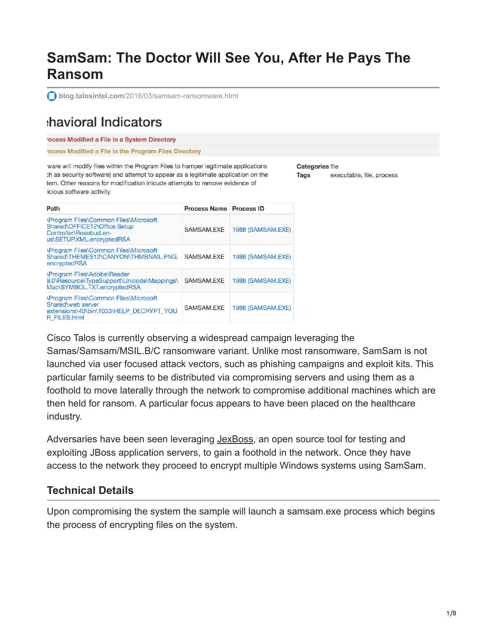# **SamSam: The Doctor Will See You, After He Pays The Ransom**

**blog.talosintel.com**[/2016/03/samsam-ransomware.html](http://blog.talosintel.com/2016/03/samsam-ransomware.html)

## havioral Indicators

rocess Modified a File in a System Directory

rocess Modified a File in the Program Files Directory

ware will modify files within the Program Files to hamper legitimate applications th as security software) and attempt to appear as a legitimate application on the tem. Other reasons for modification inlcude attempts to remove evidence of icious software activity.

Categories file **Tags** executable, file, process

| Path                                                                                                                                | Process Name Process ID |                   |
|-------------------------------------------------------------------------------------------------------------------------------------|-------------------------|-------------------|
| <b>\Program Files\Common Files\Microsoft</b><br>Shared\OFFICE12\Office Setup<br>Controller\Rosebud.en-<br>us\SETUP.XML.encryptedRSA | SAMSAM.EXE              | 1988 (SAMSAM.EXE) |
| <b>\Program Files\Common Files\Microsoft</b><br>Shared\THEMES12\CANYON\THMBNAIL.PNG.<br>encryptedRSA                                | SAMSAM.EXE              | 1988 (SAMSAM.EXE) |
| <b>\Program Files\Adobe\Reader</b><br>9.0\Resource\TypeSupport\Unicode\Mappings\<br>Mac\SYMBOL.TXT.encryptedRSA                     | SAMSAM.EXE              | 1988 (SAMSAM.EXE) |
| <b>\Program Files\Common Files\Microsoft</b><br>Shared\web server<br>extensions\40\bin\1033\HELP_DECRYPT_YOU<br>R FILES.html        | SAMSAM.EXE              | 1988 (SAMSAM.EXE) |

Cisco Talos is currently observing a widespread campaign leveraging the

Samas/Samsam/MSIL.B/C ransomware variant. Unlike most ransomware, SamSam is not launched via user focused attack vectors, such as phishing campaigns and exploit kits. This particular family seems to be distributed via compromising servers and using them as a foothold to move laterally through the network to compromise additional machines which are then held for ransom. A particular focus appears to have been placed on the healthcare industry.

Adversaries have been seen leveraging [JexBoss,](https://github.com/joaomatosf/jexboss) an open source tool for testing and exploiting JBoss application servers, to gain a foothold in the network. Once they have access to the network they proceed to encrypt multiple Windows systems using SamSam.

### **Technical Details**

Upon compromising the system the sample will launch a samsam.exe process which begins the process of encrypting files on the system.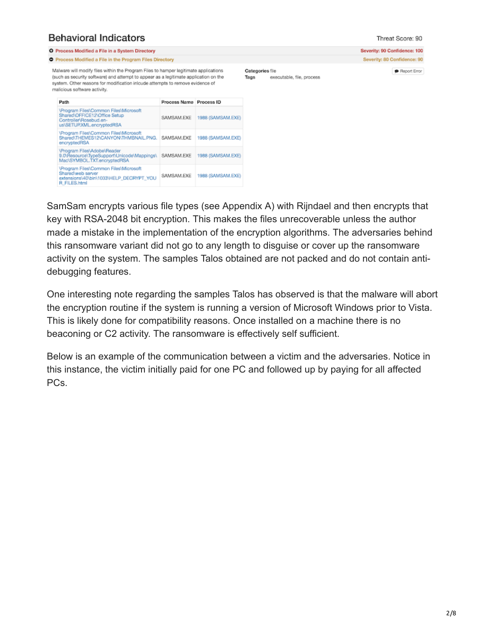### **Behavioral Indicators**

Sharedweb server<br>extensions\40\bin\1033\HELP\_DECRYPT\_YOU<br>R\_FILES.html

#### Threat Score: 90

|                                                                                                                                                                                                                                                                                               | <b>O</b> Process Modified a File in a System Directory                                                                       |                         |                                                      |              |  | Severity: 90 Confidence: 100 |
|-----------------------------------------------------------------------------------------------------------------------------------------------------------------------------------------------------------------------------------------------------------------------------------------------|------------------------------------------------------------------------------------------------------------------------------|-------------------------|------------------------------------------------------|--------------|--|------------------------------|
| <b>O</b> Process Modified a File in the Program Files Directory                                                                                                                                                                                                                               |                                                                                                                              |                         |                                                      |              |  | Severity: 80 Confidence: 90  |
| Malware will modify files within the Program Files to hamper legitimate applications<br>(such as security software) and attempt to appear as a legitimate application on the<br>system. Other reasons for modification inlcude attempts to remove evidence of<br>malicious software activity. |                                                                                                                              |                         | Categories file<br>executable, file, process<br>Tags | Report Error |  |                              |
|                                                                                                                                                                                                                                                                                               | Path                                                                                                                         | Process Name Process ID |                                                      |              |  |                              |
|                                                                                                                                                                                                                                                                                               | \Program Files\Common Files\Microsoft<br>Shared\OFFICE12\Office Setup<br>Controller\Rosebud.en-<br>us\SETUP.XML.encryptedRSA | SAMSAM.EXE              | 1988 (SAMSAM.EXE)                                    |              |  |                              |
|                                                                                                                                                                                                                                                                                               | \Program Files\Common Files\Microsoft<br>Shared\THEMES12\CANYON\THMBNAIL.PNG.<br>encryptedRSA                                | SAMSAM.EXE              | 1988 (SAMSAM.EXE)                                    |              |  |                              |
|                                                                                                                                                                                                                                                                                               | \Program Files\Adobe\Reader<br>9.0\Resource\TypeSupport\Unicode\Mappings\ SAMSAM.EXE<br>Mac\SYMBOL.TXT.encryptedRSA          |                         | 1988 (SAMSAM.EXE)                                    |              |  |                              |
|                                                                                                                                                                                                                                                                                               | \Program Files\Common Files\Microsoft                                                                                        |                         |                                                      |              |  |                              |

SamSam encrypts various file types (see Appendix A) with Rijndael and then encrypts that key with RSA-2048 bit encryption. This makes the files unrecoverable unless the author made a mistake in the implementation of the encryption algorithms. The adversaries behind this ransomware variant did not go to any length to disguise or cover up the ransomware activity on the system. The samples Talos obtained are not packed and do not contain antidebugging features.

One interesting note regarding the samples Talos has observed is that the malware will abort the encryption routine if the system is running a version of Microsoft Windows prior to Vista. This is likely done for compatibility reasons. Once installed on a machine there is no beaconing or C2 activity. The ransomware is effectively self sufficient.

Below is an example of the communication between a victim and the adversaries. Notice in this instance, the victim initially paid for one PC and followed up by paying for all affected PC<sub>s</sub>.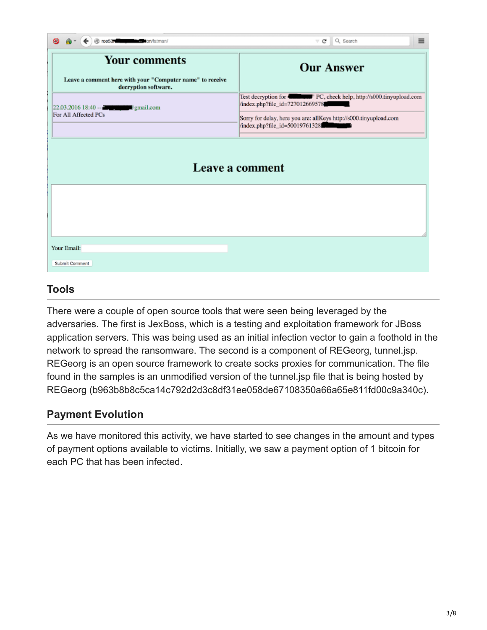| @ roe53. https://www.fatman/                                                                              | Q Search<br>$\equiv$<br>⊤c I                                                                                                                                                                                                |  |  |
|-----------------------------------------------------------------------------------------------------------|-----------------------------------------------------------------------------------------------------------------------------------------------------------------------------------------------------------------------------|--|--|
| <b>Your comments</b><br>Leave a comment here with your "Computer name" to receive<br>decryption software. | <b>Our Answer</b>                                                                                                                                                                                                           |  |  |
| $22.03.201618:40 - 2$<br>For All Affected PCs                                                             | Test decryption for <b>Community</b> " PC, check help, http://s000.tinyupload.com<br>/index.php?file_id=727012669578<br>Sorry for delay, here you are: allKeys http://s000.tinyupload.com<br>/index.php?file_id=50019761328 |  |  |
| Leave a comment                                                                                           |                                                                                                                                                                                                                             |  |  |
|                                                                                                           |                                                                                                                                                                                                                             |  |  |
| Your Email:                                                                                               |                                                                                                                                                                                                                             |  |  |
| Submit Comment                                                                                            |                                                                                                                                                                                                                             |  |  |

### **Tools**

There were a couple of open source tools that were seen being leveraged by the adversaries. The first is JexBoss, which is a testing and exploitation framework for JBoss application servers. This was being used as an initial infection vector to gain a foothold in the network to spread the ransomware. The second is a component of REGeorg, tunnel.jsp. REGeorg is an open source framework to create socks proxies for communication. The file found in the samples is an unmodified version of the tunnel.jsp file that is being hosted by REGeorg (b963b8b8c5ca14c792d2d3c8df31ee058de67108350a66a65e811fd00c9a340c).

### **Payment Evolution**

As we have monitored this activity, we have started to see changes in the amount and types of payment options available to victims. Initially, we saw a payment option of 1 bitcoin for each PC that has been infected.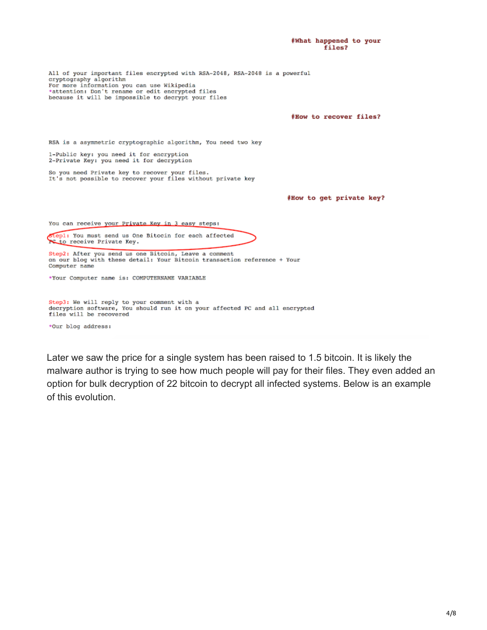#What happened to your files? All of your important files encrypted with RSA-2048, RSA-2048 is a powerful cryptography algorithm For more information you can use Wikipedia \*attention: Don't rename or edit encrypted files because it will be impossible to decrypt your files #How to recover files? RSA is a asymmetric cryptographic algorithm, You need two key 1-Public key: you need it for encryption 2-Private Key: you need it for decryption So you need Private key to recover your files.<br>It's not possible to recover your files without private key #How to get private key? You can receive your Private Key in 3 easy steps: stepl: You must send us One Bitocin for each affected PC to receive Private Key. Step2: After you send us one Bitcoin, Leave a comment on our blog with these detail: Your Bitcoin transaction reference + Your Computer name \*Your Computer name is: COMPUTERNAME VARIABLE Step3: We will reply to your comment with a decryption software, You should run it on your affected PC and all encrypted files will be recovered \*Our blog address:

Later we saw the price for a single system has been raised to 1.5 bitcoin. It is likely the malware author is trying to see how much people will pay for their files. They even added an option for bulk decryption of 22 bitcoin to decrypt all infected systems. Below is an example of this evolution.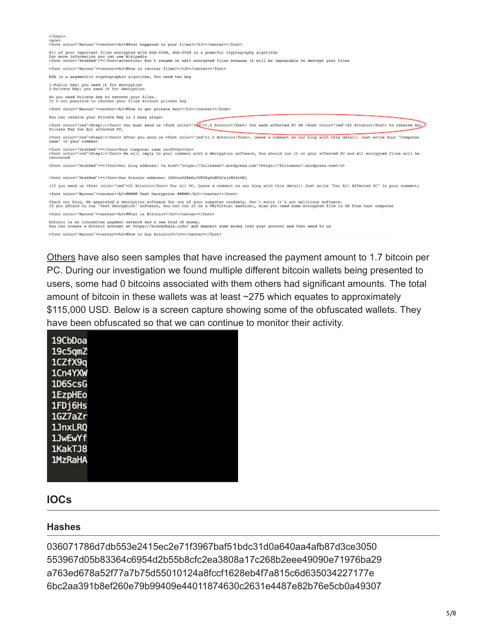| $<$ /html><br><pre><br/><font color="Marcon"><center><h3>@What happened to your files?</h3></center></font></pre>                                                                                                                                                                      |
|----------------------------------------------------------------------------------------------------------------------------------------------------------------------------------------------------------------------------------------------------------------------------------------|
| All of your important files encrypted with RSA-2048, RSA-2048 is a powerful cryptography algorithm<br>For more information you can use Wikipedia<br><font color="DrakRed">*</font> attention: Don't rename or edit encrypted files because it will be impossible to decrypt your files |
| <font color="Marcon"><center><h3>#How to recover files?</h3></center></font>                                                                                                                                                                                                           |
| RSA is a asymmetric cryptographic algorithm, You need two key                                                                                                                                                                                                                          |
| 1-Public key: you need it for encryption<br>2-Private Key: you need it for decryption                                                                                                                                                                                                  |
| So you need Private key to recover your files.<br>It's not possible to recover your files without private key                                                                                                                                                                          |
| <font color="Maroon"><center><hd>#How to get private key?</hd></center></font>                                                                                                                                                                                                         |
| You can receive your Private Key in 3 easy steps:                                                                                                                                                                                                                                      |
| <font color="red">Stepl:</font> You must send us <font color="red">1.5 Bitocin</font> for each affected PC OR <font color="red">22 Bitocin</font> to receive ALL<br>Private Mey for ALL affected PC.                                                                                   |
| <font color="red">Step2:</font> After you send us <font color="red">1.5 Bitocin</font> . Leave a comment on our blog with this detail: Just write Your "Computer<br>name" in your comment                                                                                              |
| <font color="DrakRed">*</font> Your Computer name is:PC<br>>>>>><br><font color="red">Step3:</font> We will reply to your comment with a decryption software. You should run it on your affected PC and all encrypted files will be<br>recovered                                       |
| <font color="DrakRed">*</font> Our blog address: <a href="https://followsec7.wordpress.com">https://followsec7.wordpress.com</a>                                                                                                                                                       |
| <font color="DrakRed">*</font> Our Bitcoin address: 1D6ScsG2BmEu3VFDEqfnMC6CzjnWtEi6Kj                                                                                                                                                                                                 |
| (If you send us <font color="red">22 Bitocin</font> For all PC, Leave a comment on our blog with this detail: Just write "For All Affected PC" in your comment)                                                                                                                        |
| <font color="Naroon"><center><h3>##### Test Decryption #####</h3></center></font>                                                                                                                                                                                                      |
| Check our blog, We generated a decryption software for one of your computer randomly, Don't worry it's not malicious software.<br>If you afraid to run "Test Decryption" software, You can run it on a VM(Virtual machine), also you need some encrypted file in VM from test computer |
| <font color="Maroon"><center><h3>#What is Bitcoin?</h3></center></font>                                                                                                                                                                                                                |
| Bitcoin is an innovative payment network and a new kind of money.<br>You can create a Bitcoin account at https://blockchain.info/ and deposit some money into your account and then send to us                                                                                         |
| <font color="Marcon"><center><h3>#How to buy Bitcoin?</h3></center></font>                                                                                                                                                                                                             |
|                                                                                                                                                                                                                                                                                        |

[Others](https://www.bleepingcomputer.com/forums/t/607818/encedrsa-ransomware-support-and-help-topic-help-decrypttxt/) have also seen samples that have increased the payment amount to 1.7 bitcoin per PC. During our investigation we found multiple different bitcoin wallets being presented to users, some had 0 bitcoins associated with them others had significant amounts. The total amount of bitcoin in these wallets was at least ~275 which equates to approximately \$115,000 USD. Below is a screen capture showing some of the obfuscated wallets. They have been obfuscated so that we can continue to monitor their activity.

| 19CbDoa |  |
|---------|--|
|         |  |
| 19c5qmZ |  |
| 1CZfX9a |  |
| 1Cn4YXW |  |
| 1D6ScsG |  |
| 1EzpHEo |  |
| 1FDj6Hs |  |
| 1GZ7aZr |  |
| 1JnxLRQ |  |
| 1JwEwYf |  |
| 1KakTJ8 |  |
| 1MzRaHA |  |
|         |  |
|         |  |

#### **IOCs**

#### **Hashes**

036071786d7db553e2415ec2e71f3967baf51bdc31d0a640aa4afb87d3ce3050 553967d05b83364c6954d2b55b8cfc2ea3808a17c268b2eee49090e71976ba29 a763ed678a52f77a7b75d55010124a8fccf1628eb4f7a815c6d635034227177e 6bc2aa391b8ef260e79b99409e44011874630c2631e4487e82b76e5cb0a49307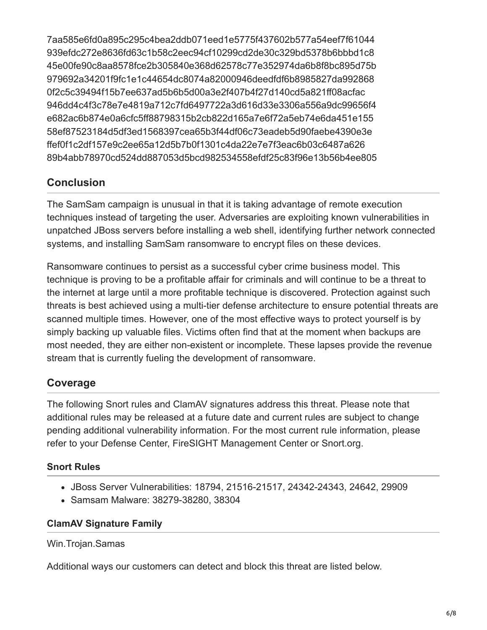7aa585e6fd0a895c295c4bea2ddb071eed1e5775f437602b577a54eef7f61044 939efdc272e8636fd63c1b58c2eec94cf10299cd2de30c329bd5378b6bbbd1c8 45e00fe90c8aa8578fce2b305840e368d62578c77e352974da6b8f8bc895d75b 979692a34201f9fc1e1c44654dc8074a82000946deedfdf6b8985827da992868 0f2c5c39494f15b7ee637ad5b6b5d00a3e2f407b4f27d140cd5a821ff08acfac 946dd4c4f3c78e7e4819a712c7fd6497722a3d616d33e3306a556a9dc99656f4 e682ac6b874e0a6cfc5ff88798315b2cb822d165a7e6f72a5eb74e6da451e155 58ef87523184d5df3ed1568397cea65b3f44df06c73eadeb5d90faebe4390e3e ffef0f1c2df157e9c2ee65a12d5b7b0f1301c4da22e7e7f3eac6b03c6487a626 89b4abb78970cd524dd887053d5bcd982534558efdf25c83f96e13b56b4ee805

### **Conclusion**

The SamSam campaign is unusual in that it is taking advantage of remote execution techniques instead of targeting the user. Adversaries are exploiting known vulnerabilities in unpatched JBoss servers before installing a web shell, identifying further network connected systems, and installing SamSam ransomware to encrypt files on these devices.

Ransomware continues to persist as a successful cyber crime business model. This technique is proving to be a profitable affair for criminals and will continue to be a threat to the internet at large until a more profitable technique is discovered. Protection against such threats is best achieved using a multi-tier defense architecture to ensure potential threats are scanned multiple times. However, one of the most effective ways to protect yourself is by simply backing up valuable files. Victims often find that at the moment when backups are most needed, they are either non-existent or incomplete. These lapses provide the revenue stream that is currently fueling the development of ransomware.

### **Coverage**

The following Snort rules and ClamAV signatures address this threat. Please note that additional rules may be released at a future date and current rules are subject to change pending additional vulnerability information. For the most current rule information, please refer to your Defense Center, FireSIGHT Management Center or Snort.org.

### **Snort Rules**

- JBoss Server Vulnerabilities: 18794, 21516-21517, 24342-24343, 24642, 29909
- Samsam Malware: 38279-38280, 38304

### **ClamAV Signature Family**

Win.Trojan.Samas

Additional ways our customers can detect and block this threat are listed below.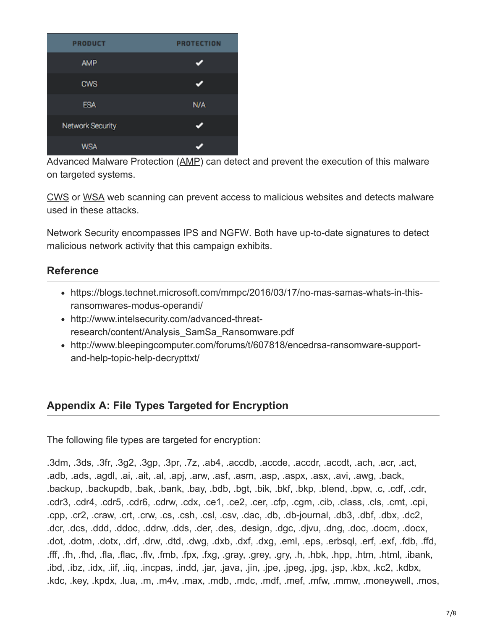| <b>PRODUCT</b>          | <b>PROTECTION</b> |
|-------------------------|-------------------|
| <b>AMP</b>              |                   |
| <b>CWS</b>              |                   |
| <b>ESA</b>              | N/A               |
| <b>Network Security</b> |                   |
| <b>WSA</b>              |                   |

Advanced Malware Protection ([AMP\)](https://www.cisco.com/c/en/us/support/security/amp-firepower-software-license/tsd-products-support-series-home.html) can detect and prevent the execution of this malware on targeted systems.

[CWS](https://www.cisco.com/c/en/us/products/security/cloud-web-security/index.html) or [WSA](https://www.cisco.com/c/en/us/products/security/web-security-appliance/index.html) web scanning can prevent access to malicious websites and detects malware used in these attacks.

Network Security encompasses [IPS](https://www.cisco.com/c/en/us/products/security/intrusion-prevention-system-ips/index.html) and [NGFW](https://www.cisco.com/c/en/us/products/security/asa-next-generation-firewall-services/index.html). Both have up-to-date signatures to detect malicious network activity that this campaign exhibits.

### **Reference**

- https://blogs.technet.microsoft.com/mmpc/2016/03/17/no-mas-samas-whats-in-thisransomwares-modus-operandi/
- http://www.intelsecurity.com/advanced-threatresearch/content/Analysis\_SamSa\_Ransomware.pdf
- http://www.bleepingcomputer.com/forums/t/607818/encedrsa-ransomware-supportand-help-topic-help-decrypttxt/

### **Appendix A: File Types Targeted for Encryption**

The following file types are targeted for encryption:

.3dm, .3ds, .3fr, .3g2, .3gp, .3pr, .7z, .ab4, .accdb, .accde, .accdr, .accdt, .ach, .acr, .act, .adb, .ads, .agdl, .ai, .ait, .al, .apj, .arw, .asf, .asm, .asp, .aspx, .asx, .avi, .awg, .back, .backup, .backupdb, .bak, .bank, .bay, .bdb, .bgt, .bik, .bkf, .bkp, .blend, .bpw, .c, .cdf, .cdr, .cdr3, .cdr4, .cdr5, .cdr6, .cdrw, .cdx, .ce1, .ce2, .cer, .cfp, .cgm, .cib, .class, .cls, .cmt, .cpi, .cpp, .cr2, .craw, .crt, .crw, .cs, .csh, .csl, .csv, .dac, .db, .db-journal, .db3, .dbf, .dbx, .dc2, .dcr, .dcs, .ddd, .ddoc, .ddrw, .dds, .der, .des, .design, .dgc, .djvu, .dng, .doc, .docm, .docx, .dot, .dotm, .dotx, .drf, .drw, .dtd, .dwg, .dxb, .dxf, .dxg, .eml, .eps, .erbsql, .erf, .exf, .fdb, .ffd, .fff, .fh, .fhd, .fla, .flac, .flv, .fmb, .fpx, .fxg, .gray, .grey, .gry, .h, .hbk, .hpp, .htm, .html, .ibank, .ibd, .ibz, .idx, .iif, .iiq, .incpas, .indd, .jar, .java, .jin, .jpe, .jpeg, .jpg, .jsp, .kbx, .kc2, .kdbx, .kdc, .key, .kpdx, .lua, .m, .m4v, .max, .mdb, .mdc, .mdf, .mef, .mfw, .mmw, .moneywell, .mos,